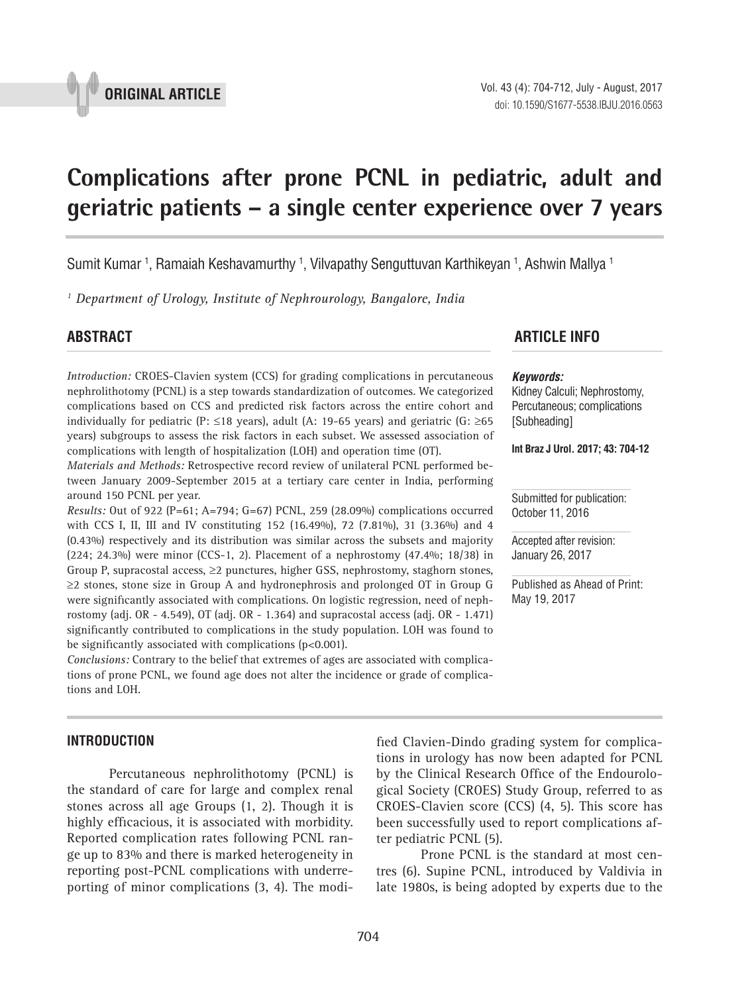

# **Complications after prone PCNL in pediatric, adult and geriatric patients – a single center experience over 7 years \_\_\_\_\_\_\_\_\_\_\_\_\_\_\_\_\_\_\_\_\_\_\_\_\_\_\_\_\_\_\_\_\_\_\_\_\_\_\_\_\_\_\_\_\_\_\_**

Sumit Kumar <sup>1</sup>, Ramaiah Keshavamurthy <sup>1</sup>, Vilvapathy Senguttuvan Karthikeyan <sup>1</sup>, Ashwin Mallya <sup>1</sup>

*1 Department of Urology, Institute of Nephrourology, Bangalore, India*

*Introduction:* CROES-Clavien system (CCS) for grading complications in percutaneous nephrolithotomy (PCNL) is a step towards standardization of outcomes. We categorized complications based on CCS and predicted risk factors across the entire cohort and individually for pediatric (P: ≤18 years), adult (A: 19-65 years) and geriatric (G: ≥65 years) subgroups to assess the risk factors in each subset. We assessed association of complications with length of hospitalization (LOH) and operation time (OT).

*Materials and Methods:* Retrospective record review of unilateral PCNL performed between January 2009-September 2015 at a tertiary care center in India, performing around 150 PCNL per year.

*Results:* Out of 922 (P=61; A=794; G=67) PCNL, 259 (28.09%) complications occurred with CCS I, II, III and IV constituting 152 (16.49%), 72 (7.81%), 31 (3.36%) and 4 (0.43%) respectively and its distribution was similar across the subsets and majority (224; 24.3%) were minor (CCS-1, 2). Placement of a nephrostomy (47.4%; 18/38) in Group P, supracostal access, ≥2 punctures, higher GSS, nephrostomy, staghorn stones, ≥2 stones, stone size in Group A and hydronephrosis and prolonged OT in Group G were significantly associated with complications. On logistic regression, need of nephrostomy (adj. OR - 4.549), OT (adj. OR - 1.364) and supracostal access (adj. OR - 1.471) significantly contributed to complications in the study population. LOH was found to be significantly associated with complications (p<0.001).

*Conclusions:* Contrary to the belief that extremes of ages are associated with complications of prone PCNL, we found age does not alter the incidence or grade of complications and LOH.

# **INTRODUCTION**

Percutaneous nephrolithotomy (PCNL) is the standard of care for large and complex renal stones across all age Groups (1, 2). Though it is highly efficacious, it is associated with morbidity. Reported complication rates following PCNL range up to 83% and there is marked heterogeneity in reporting post-PCNL complications with underreporting of minor complications (3, 4). The modi-

# **ABSTRACT ARTICLE INFO** *\_\_\_\_\_\_\_\_\_\_\_\_\_\_\_\_\_\_\_\_\_\_\_\_\_\_\_\_\_\_\_\_\_\_\_\_\_\_\_\_\_\_\_\_\_\_\_\_\_\_\_\_\_\_\_\_\_\_\_\_\_\_ \_\_\_\_\_\_\_\_\_\_\_\_\_\_\_\_\_\_\_\_\_\_*

#### *Keywords:*

Kidney Calculi; Nephrostomy, Percutaneous; complications [Subheading]

**Int Braz J Urol. 2017; 43: 704-12**

Submitted for publication: October 11, 2016

Accepted after revision: January 26, 2017

Published as Ahead of Print: May 19, 2017

fied Clavien-Dindo grading system for complications in urology has now been adapted for PCNL by the Clinical Research Office of the Endourological Society (CROES) Study Group, referred to as CROES-Clavien score (CCS) (4, 5). This score has been successfully used to report complications after pediatric PCNL (5).

Prone PCNL is the standard at most centres (6). Supine PCNL, introduced by Valdivia in late 1980s, is being adopted by experts due to the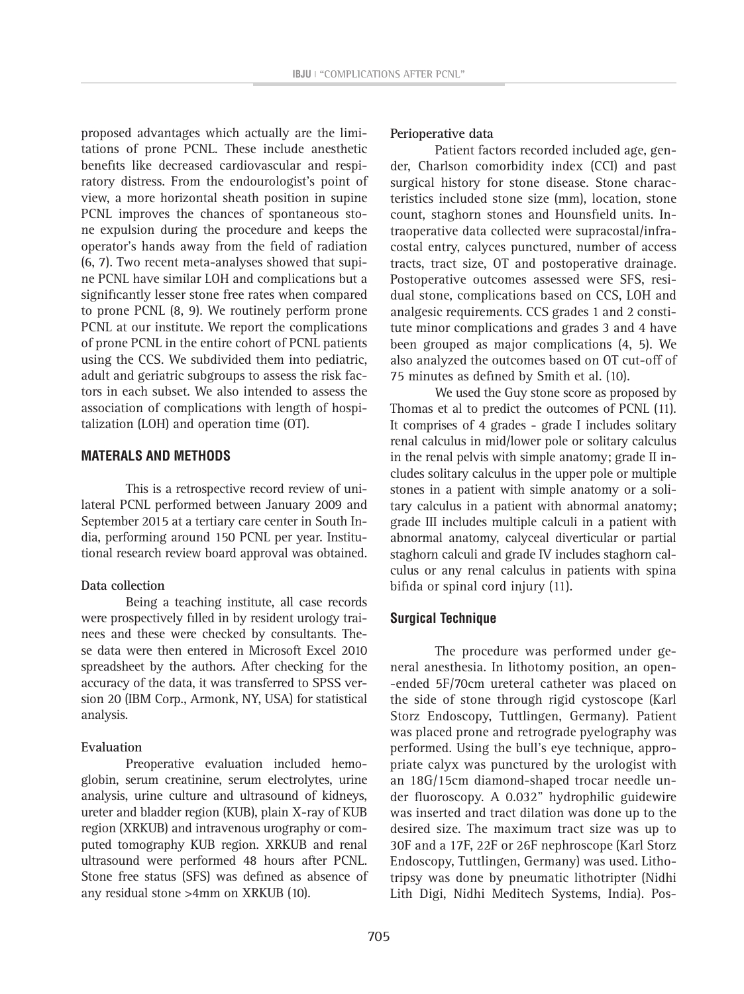proposed advantages which actually are the limitations of prone PCNL. These include anesthetic benefits like decreased cardiovascular and respiratory distress. From the endourologist's point of view, a more horizontal sheath position in supine PCNL improves the chances of spontaneous stone expulsion during the procedure and keeps the operator's hands away from the field of radiation (6, 7). Two recent meta-analyses showed that supine PCNL have similar LOH and complications but a significantly lesser stone free rates when compared to prone PCNL (8, 9). We routinely perform prone PCNL at our institute. We report the complications of prone PCNL in the entire cohort of PCNL patients using the CCS. We subdivided them into pediatric, adult and geriatric subgroups to assess the risk factors in each subset. We also intended to assess the association of complications with length of hospitalization (LOH) and operation time (OT).

# **MATERALS AND METHODS**

This is a retrospective record review of unilateral PCNL performed between January 2009 and September 2015 at a tertiary care center in South India, performing around 150 PCNL per year. Institutional research review board approval was obtained.

#### **Data collection**

Being a teaching institute, all case records were prospectively filled in by resident urology trainees and these were checked by consultants. These data were then entered in Microsoft Excel 2010 spreadsheet by the authors. After checking for the accuracy of the data, it was transferred to SPSS version 20 (IBM Corp., Armonk, NY, USA) for statistical analysis.

# **Evaluation**

Preoperative evaluation included hemoglobin, serum creatinine, serum electrolytes, urine analysis, urine culture and ultrasound of kidneys, ureter and bladder region (KUB), plain X-ray of KUB region (XRKUB) and intravenous urography or computed tomography KUB region. XRKUB and renal ultrasound were performed 48 hours after PCNL. Stone free status (SFS) was defined as absence of any residual stone >4mm on XRKUB (10).

### **Perioperative data**

Patient factors recorded included age, gender, Charlson comorbidity index (CCI) and past surgical history for stone disease. Stone characteristics included stone size (mm), location, stone count, staghorn stones and Hounsfield units. Intraoperative data collected were supracostal/infracostal entry, calyces punctured, number of access tracts, tract size, OT and postoperative drainage. Postoperative outcomes assessed were SFS, residual stone, complications based on CCS, LOH and analgesic requirements. CCS grades 1 and 2 constitute minor complications and grades 3 and 4 have been grouped as major complications (4, 5). We also analyzed the outcomes based on OT cut-off of 75 minutes as defined by Smith et al. (10).

We used the Guy stone score as proposed by Thomas et al to predict the outcomes of PCNL (11). It comprises of 4 grades - grade I includes solitary renal calculus in mid/lower pole or solitary calculus in the renal pelvis with simple anatomy; grade II includes solitary calculus in the upper pole or multiple stones in a patient with simple anatomy or a solitary calculus in a patient with abnormal anatomy; grade III includes multiple calculi in a patient with abnormal anatomy, calyceal diverticular or partial staghorn calculi and grade IV includes staghorn calculus or any renal calculus in patients with spina bifida or spinal cord injury (11).

# **Surgical Technique**

The procedure was performed under general anesthesia. In lithotomy position, an open- -ended 5F/70cm ureteral catheter was placed on the side of stone through rigid cystoscope (Karl Storz Endoscopy, Tuttlingen, Germany). Patient was placed prone and retrograde pyelography was performed. Using the bull's eye technique, appropriate calyx was punctured by the urologist with an 18G/15cm diamond-shaped trocar needle under fluoroscopy. A 0.032" hydrophilic guidewire was inserted and tract dilation was done up to the desired size. The maximum tract size was up to 30F and a 17F, 22F or 26F nephroscope (Karl Storz Endoscopy, Tuttlingen, Germany) was used. Lithotripsy was done by pneumatic lithotripter (Nidhi Lith Digi, Nidhi Meditech Systems, India). Pos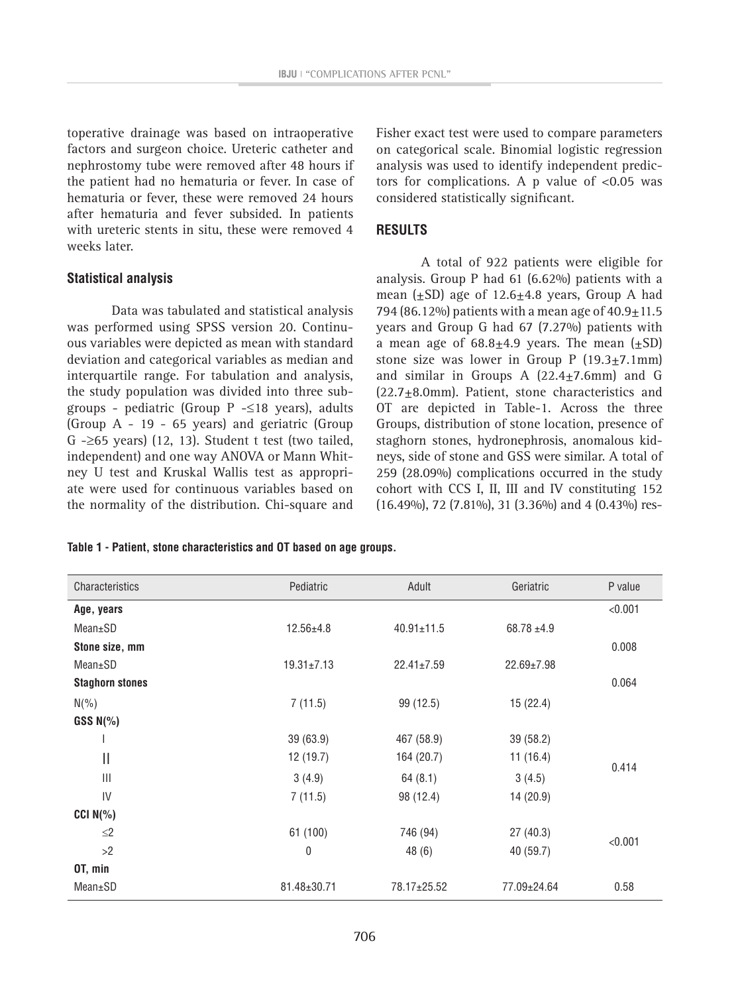toperative drainage was based on intraoperative factors and surgeon choice. Ureteric catheter and nephrostomy tube were removed after 48 hours if the patient had no hematuria or fever. In case of hematuria or fever, these were removed 24 hours after hematuria and fever subsided. In patients with ureteric stents in situ, these were removed 4 weeks later.

### **Statistical analysis**

Data was tabulated and statistical analysis was performed using SPSS version 20. Continuous variables were depicted as mean with standard deviation and categorical variables as median and interquartile range. For tabulation and analysis, the study population was divided into three subgroups - pediatric (Group P -≤18 years), adults (Group A - 19 - 65 years) and geriatric (Group G  $-$ ≥65 years) (12, 13). Student t test (two tailed, independent) and one way ANOVA or Mann Whitney U test and Kruskal Wallis test as appropriate were used for continuous variables based on the normality of the distribution. Chi-square and

Fisher exact test were used to compare parameters on categorical scale. Binomial logistic regression analysis was used to identify independent predictors for complications. A  $p$  value of  $<0.05$  was considered statistically significant.

# **RESULTS**

A total of 922 patients were eligible for analysis. Group P had 61 (6.62%) patients with a mean  $(\pm SD)$  age of 12.6 $\pm$ 4.8 years, Group A had 794 (86.12%) patients with a mean age of  $40.9 \pm 11.5$ years and Group G had 67 (7.27%) patients with a mean age of  $68.8\pm4.9$  years. The mean  $(\pm SD)$ stone size was lower in Group P  $(19.3 \pm 7.1 \text{mm})$ and similar in Groups A  $(22.4 \pm 7.6 \text{mm})$  and G (22.7±8.0mm). Patient, stone characteristics and OT are depicted in Table-1. Across the three Groups, distribution of stone location, presence of staghorn stones, hydronephrosis, anomalous kidneys, side of stone and GSS were similar. A total of 259 (28.09%) complications occurred in the study cohort with CCS I, II, III and IV constituting 152 (16.49%), 72 (7.81%), 31 (3.36%) and 4 (0.43%) res-

|  | Table 1 - Patient, stone characteristics and OT based on age groups. |  |  |
|--|----------------------------------------------------------------------|--|--|
|  |                                                                      |  |  |

| Characteristics        | Pediatric<br>Adult<br>Geriatric |                  | P value          |         |
|------------------------|---------------------------------|------------------|------------------|---------|
| Age, years             |                                 |                  |                  | < 0.001 |
| $Mean \pm SD$          | $12.56{\pm}4.8$                 | $40.91 \pm 11.5$ | $68.78 \pm 4.9$  |         |
| Stone size, mm         |                                 |                  |                  | 0.008   |
| $Mean \pm SD$          | $19.31 \pm 7.13$                | $22.41 \pm 7.59$ | $22.69 \pm 7.98$ |         |
| <b>Staghorn stones</b> |                                 |                  |                  | 0.064   |
| $N(\% )$               | 7(11.5)                         | 99 (12.5)        | 15(22.4)         |         |
| $GSS N(\%)$            |                                 |                  |                  |         |
|                        | 39 (63.9)                       | 467 (58.9)       | 39 (58.2)        |         |
| $\mathbf{  }$          | 12 (19.7)                       | 164 (20.7)       | 11(16.4)         | 0.414   |
| $\mathbf{III}$         | 3(4.9)                          | 64(8.1)          | 3(4.5)           |         |
| IV                     | 7(11.5)                         | 98 (12.4)        | 14 (20.9)        |         |
| CCI $N(\% )$           |                                 |                  |                  |         |
| $\leq$ 2               | 61 (100)                        | 746 (94)         | 27(40.3)         | < 0.001 |
| >2                     | $\mathbf 0$                     | 48(6)            | 40 (59.7)        |         |
| OT, min                |                                 |                  |                  |         |
| $Mean \pm SD$          | 81.48±30.71                     | 78.17±25.52      | 77.09±24.64      | 0.58    |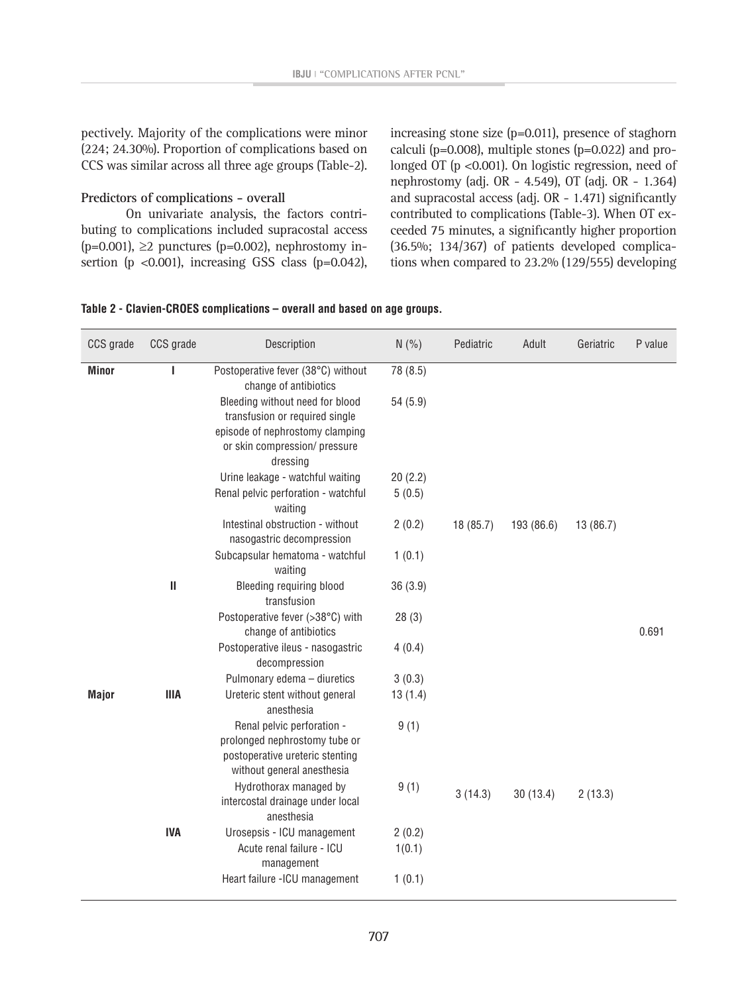pectively. Majority of the complications were minor (224; 24.30%). Proportion of complications based on CCS was similar across all three age groups (Table-2).

#### **Predictors of complications - overall**

On univariate analysis, the factors contributing to complications included supracostal access ( $p=0.001$ ),  $\geq 2$  punctures ( $p=0.002$ ), nephrostomy insertion (p <0.001), increasing GSS class (p=0.042), increasing stone size (p=0.011), presence of staghorn calculi (p=0.008), multiple stones (p=0.022) and prolonged OT (p <0.001). On logistic regression, need of nephrostomy (adj. OR - 4.549), OT (adj. OR - 1.364) and supracostal access (adj. OR - 1.471) significantly contributed to complications (Table-3). When OT exceeded 75 minutes, a significantly higher proportion (36.5%; 134/367) of patients developed complications when compared to 23.2% (129/555) developing

| Table 2 - Clavien-CROES complications – overall and based on age groups. |  |  |  |
|--------------------------------------------------------------------------|--|--|--|
|--------------------------------------------------------------------------|--|--|--|

| CCS grade    | CCS grade                  | Description                                                                                                                                       | N(% )    | Pediatric | Adult      | Geriatric | P value |
|--------------|----------------------------|---------------------------------------------------------------------------------------------------------------------------------------------------|----------|-----------|------------|-----------|---------|
| <b>Minor</b> | ı                          | Postoperative fever (38°C) without<br>change of antibiotics                                                                                       | 78 (8.5) |           |            |           |         |
|              |                            | Bleeding without need for blood<br>transfusion or required single<br>episode of nephrostomy clamping<br>or skin compression/ pressure<br>dressing | 54(5.9)  |           |            |           |         |
|              |                            | Urine leakage - watchful waiting                                                                                                                  | 20(2.2)  |           |            |           |         |
|              |                            | Renal pelvic perforation - watchful<br>waiting                                                                                                    | 5(0.5)   |           |            |           |         |
|              |                            | Intestinal obstruction - without<br>nasogastric decompression                                                                                     | 2(0.2)   | 18(85.7)  | 193 (86.6) | 13 (86.7) |         |
|              |                            | Subcapsular hematoma - watchful<br>waiting                                                                                                        | 1(0.1)   |           |            |           |         |
|              | $\ensuremath{\mathsf{II}}$ | Bleeding requiring blood<br>transfusion                                                                                                           | 36(3.9)  |           |            |           |         |
|              |                            | Postoperative fever (>38°C) with<br>change of antibiotics                                                                                         | 28(3)    |           |            |           | 0.691   |
|              |                            | Postoperative ileus - nasogastric<br>decompression                                                                                                | 4(0.4)   |           |            |           |         |
|              |                            | Pulmonary edema - diuretics                                                                                                                       | 3(0.3)   |           |            |           |         |
| <b>Major</b> | <b>IIIA</b>                | Ureteric stent without general<br>anesthesia                                                                                                      | 13(1.4)  |           |            |           |         |
|              |                            | Renal pelvic perforation -<br>prolonged nephrostomy tube or<br>postoperative ureteric stenting<br>without general anesthesia                      | 9(1)     |           |            |           |         |
|              |                            | Hydrothorax managed by<br>intercostal drainage under local<br>anesthesia                                                                          | 9(1)     | 3(14.3)   | 30(13.4)   | 2(13.3)   |         |
|              | <b>IVA</b>                 | Urosepsis - ICU management                                                                                                                        | 2(0.2)   |           |            |           |         |
|              |                            | Acute renal failure - ICU<br>management                                                                                                           | 1(0.1)   |           |            |           |         |
|              |                            | Heart failure - ICU management                                                                                                                    | 1(0.1)   |           |            |           |         |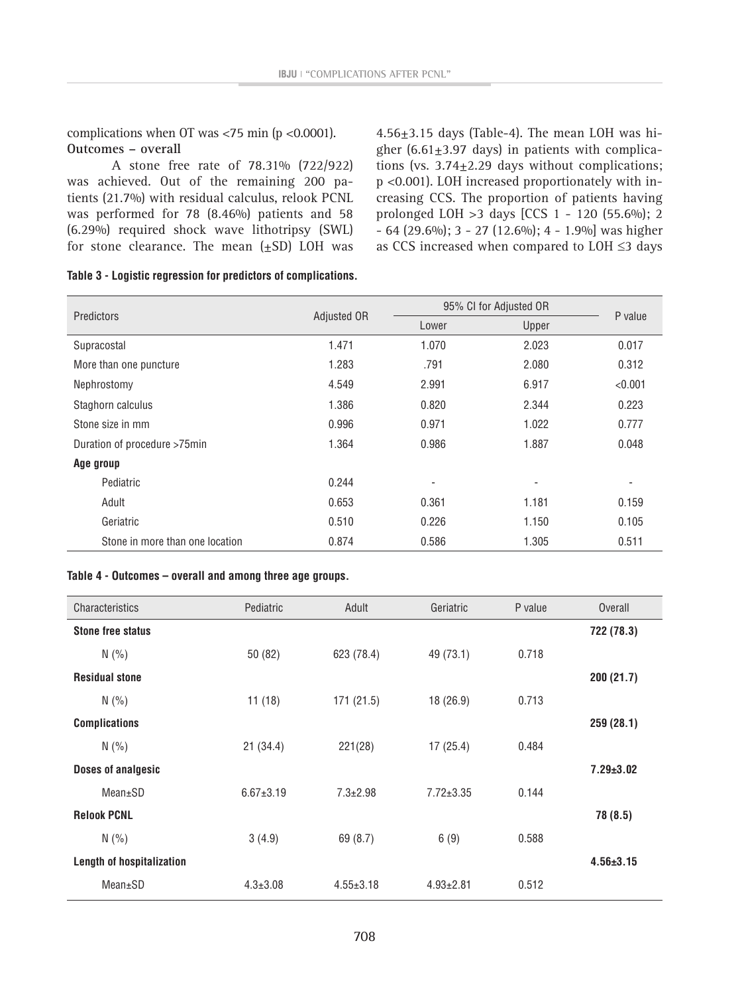complications when OT was <75 min (p <0.0001). **Outcomes – overall**

A stone free rate of 78.31% (722/922) was achieved. Out of the remaining 200 patients (21.7%) with residual calculus, relook PCNL was performed for 78 (8.46%) patients and 58 (6.29%) required shock wave lithotripsy (SWL) for stone clearance. The mean  $(\pm SD)$  LOH was 4.56 $\pm$ 3.15 days (Table-4). The mean LOH was higher  $(6.61\pm3.97$  days) in patients with complications (vs.  $3.74 \pm 2.29$  days without complications; p <0.001). LOH increased proportionately with increasing CCS. The proportion of patients having prolonged LOH >3 days [CCS 1 - 120 (55.6%); 2 - 64 (29.6%); 3 - 27 (12.6%); 4 - 1.9%] was higher as CCS increased when compared to LOH ≤3 days

|  |  |  |  |  |  | Table 3 - Logistic regression for predictors of complications. |
|--|--|--|--|--|--|----------------------------------------------------------------|
|--|--|--|--|--|--|----------------------------------------------------------------|

|                                 |                      | 95% CI for Adjusted OR | P value                  |         |
|---------------------------------|----------------------|------------------------|--------------------------|---------|
| <b>Predictors</b>               | Adjusted OR<br>Lower |                        |                          | Upper   |
| Supracostal                     | 1.471                | 1.070                  | 2.023                    | 0.017   |
| More than one puncture          | 1.283                | .791                   | 2.080                    | 0.312   |
| Nephrostomy                     | 4.549                | 2.991                  | 6.917                    | < 0.001 |
| Staghorn calculus               | 1.386                | 0.820                  | 2.344                    | 0.223   |
| Stone size in mm                | 0.996                | 0.971                  | 1.022                    | 0.777   |
| Duration of procedure >75min    | 1.364                | 0.986                  | 1.887                    | 0.048   |
| Age group                       |                      |                        |                          |         |
| Pediatric                       | 0.244                | ٠                      | $\overline{\phantom{a}}$ | ۰       |
| Adult                           | 0.653                | 0.361                  | 1.181                    | 0.159   |
| Geriatric                       | 0.510                | 0.226                  | 1.150                    | 0.105   |
| Stone in more than one location | 0.874                | 0.586                  | 1.305                    | 0.511   |

#### **Table 4 - Outcomes – overall and among three age groups.**

| Characteristics           | Pediatric       | Adult           | Geriatric       | P value | Overall         |
|---------------------------|-----------------|-----------------|-----------------|---------|-----------------|
| <b>Stone free status</b>  |                 |                 |                 |         | 722 (78.3)      |
| N(%                       | 50 (82)         | 623 (78.4)      | 49 (73.1)       | 0.718   |                 |
| <b>Residual stone</b>     |                 |                 |                 |         | 200(21.7)       |
| N(%                       | 11(18)          | 171 (21.5)      | 18 (26.9)       | 0.713   |                 |
| <b>Complications</b>      |                 |                 |                 |         | 259 (28.1)      |
| N(%                       | 21(34.4)        | 221(28)         | 17(25.4)        | 0.484   |                 |
| <b>Doses of analgesic</b> |                 |                 |                 |         | $7.29 \pm 3.02$ |
| $Mean \pm SD$             | $6.67 \pm 3.19$ | $7.3 \pm 2.98$  | $7.72 \pm 3.35$ | 0.144   |                 |
| <b>Relook PCNL</b>        |                 |                 |                 |         | 78 (8.5)        |
| N(%                       | 3(4.9)          | 69 (8.7)        | 6(9)            | 0.588   |                 |
| Length of hospitalization |                 |                 |                 |         | $4.56 \pm 3.15$ |
| $Mean \pm SD$             | $4.3 \pm 3.08$  | $4.55 \pm 3.18$ | $4.93 \pm 2.81$ | 0.512   |                 |
|                           |                 |                 |                 |         |                 |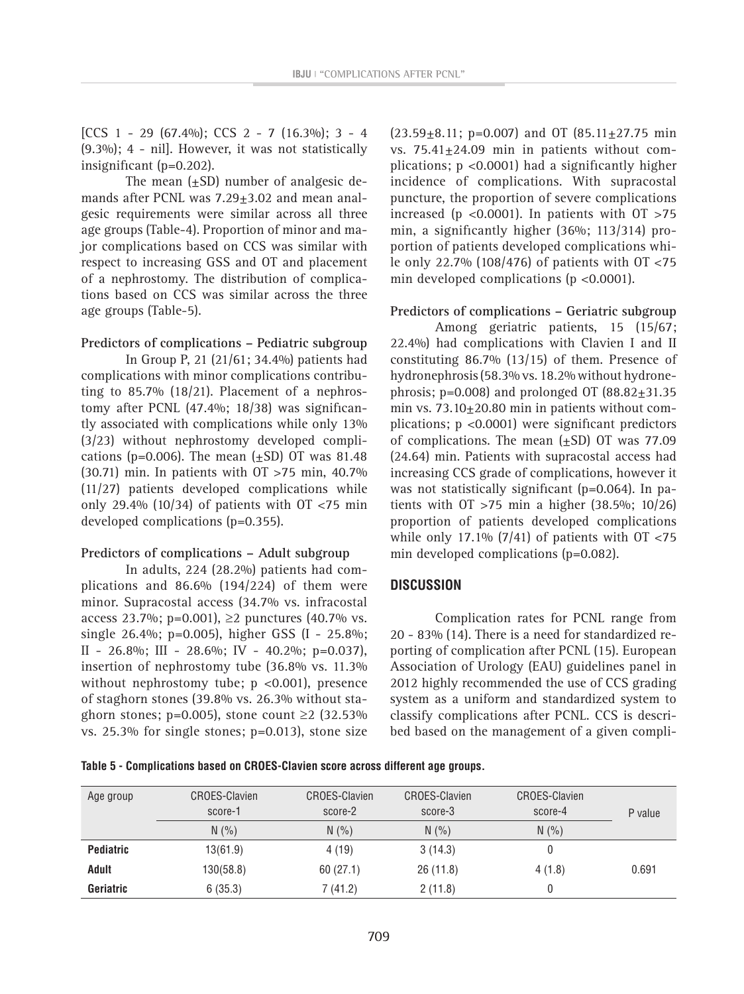709

[CCS 1 - 29 (67.4%); CCS 2 - 7 (16.3%); 3 - 4 (9.3%); 4 - nil]. However, it was not statistically insignificant (p=0.202).

The mean  $(+SD)$  number of analgesic demands after PCNL was 7.29±3.02 and mean analgesic requirements were similar across all three age groups (Table-4). Proportion of minor and major complications based on CCS was similar with respect to increasing GSS and OT and placement of a nephrostomy. The distribution of complications based on CCS was similar across the three age groups (Table-5).

# **Predictors of complications – Pediatric subgroup**

In Group P, 21 (21/61; 34.4%) patients had complications with minor complications contributing to 85.7% (18/21). Placement of a nephrostomy after PCNL (47.4%; 18/38) was significantly associated with complications while only 13% (3/23) without nephrostomy developed complications (p=0.006). The mean  $(\pm SD)$  OT was 81.48 (30.71) min. In patients with OT >75 min, 40.7% (11/27) patients developed complications while only 29.4% (10/34) of patients with  $OT < 75$  min developed complications (p=0.355).

# **Predictors of complications – Adult subgroup**

In adults, 224 (28.2%) patients had complications and 86.6% (194/224) of them were minor. Supracostal access (34.7% vs. infracostal access 23.7%; p=0.001), ≥2 punctures (40.7% vs. single 26.4%; p=0.005), higher GSS (I - 25.8%; II - 26.8%; III - 28.6%; IV - 40.2%; p=0.037), insertion of nephrostomy tube (36.8% vs. 11.3% without nephrostomy tube;  $p \le 0.001$ , presence of staghorn stones (39.8% vs. 26.3% without staghorn stones; p=0.005), stone count  $\geq$  2 (32.53%) vs. 25.3% for single stones; p=0.013), stone size  $(23.59 \pm 8.11; p=0.007)$  and OT  $(85.11 \pm 27.75 \text{ min})$ vs. 75.41±24.09 min in patients without complications;  $p \le 0.0001$  had a significantly higher incidence of complications. With supracostal puncture, the proportion of severe complications increased ( $p \le 0.0001$ ). In patients with  $0T > 75$ min, a significantly higher (36%; 113/314) proportion of patients developed complications while only 22.7% (108/476) of patients with OT <75 min developed complications ( $p < 0.0001$ ).

**Predictors of complications – Geriatric subgroup**

Among geriatric patients, 15 (15/67; 22.4%) had complications with Clavien I and II constituting 86.7% (13/15) of them. Presence of hydronephrosis (58.3% vs. 18.2% without hydronephrosis; p=0.008) and prolonged OT  $(88.82 \pm 31.35)$ min vs.  $73.10\pm20.80$  min in patients without complications; p <0.0001) were significant predictors of complications. The mean (±SD) OT was 77.09 (24.64) min. Patients with supracostal access had increasing CCS grade of complications, however it was not statistically significant (p=0.064). In patients with  $OT > 75$  min a higher  $(38.5\%; 10/26)$ proportion of patients developed complications while only 17.1%  $(7/41)$  of patients with OT <75 min developed complications (p=0.082).

# **DISCUSSION**

Complication rates for PCNL range from 20 - 83% (14). There is a need for standardized reporting of complication after PCNL (15). European Association of Urology (EAU) guidelines panel in 2012 highly recommended the use of CCS grading system as a uniform and standardized system to classify complications after PCNL. CCS is described based on the management of a given compli-

**Table 5 - Complications based on CROES-Clavien score across different age groups.**

| Age group        | <b>CROES-Clavien</b><br>score-1 | <b>CROES-Clavien</b><br>score-2 | <b>CROES-Clavien</b><br><b>CROES-Clavien</b><br>score-3<br>score-4 |        | P value |  |
|------------------|---------------------------------|---------------------------------|--------------------------------------------------------------------|--------|---------|--|
|                  | N(% )                           | N(%                             | N(%                                                                | N(% )  |         |  |
| <b>Pediatric</b> | 13(61.9)                        | 4 (19)                          | 3(14.3)                                                            |        |         |  |
| Adult            | 130(58.8)                       | 60(27.1)                        | 26(11.8)                                                           | 4(1.8) | 0.691   |  |
| Geriatric        | 6(35.3)                         | 41.2)"                          | 2(11.8)                                                            |        |         |  |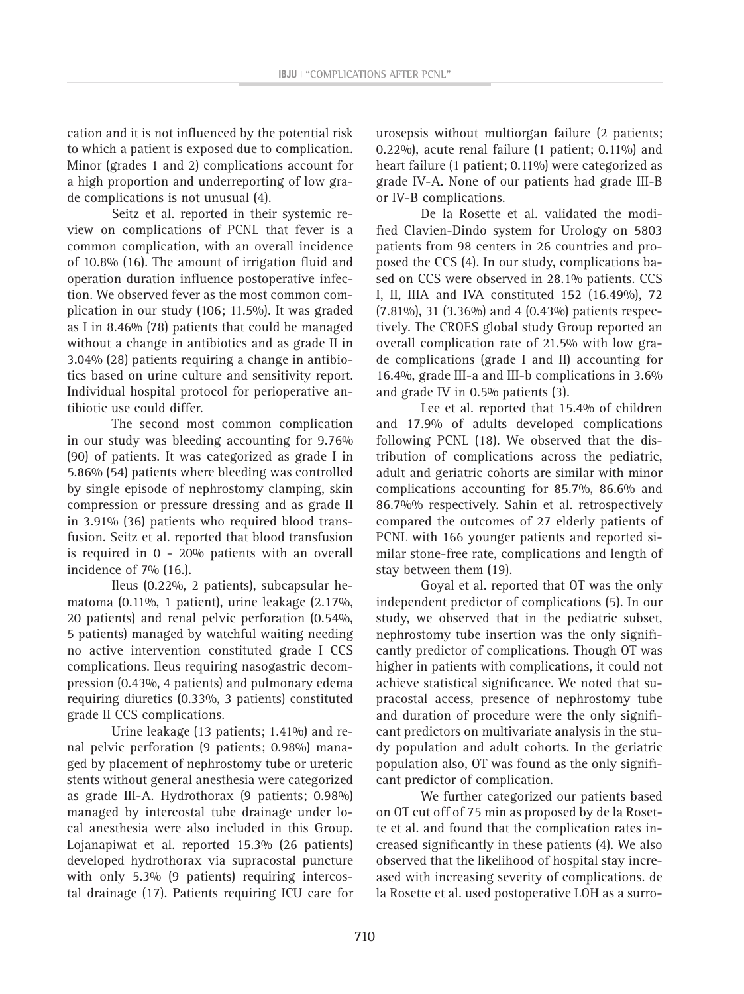cation and it is not influenced by the potential risk to which a patient is exposed due to complication. Minor (grades 1 and 2) complications account for a high proportion and underreporting of low grade complications is not unusual (4).

Seitz et al. reported in their systemic review on complications of PCNL that fever is a common complication, with an overall incidence of 10.8% (16). The amount of irrigation fluid and operation duration influence postoperative infection. We observed fever as the most common complication in our study (106; 11.5%). It was graded as I in 8.46% (78) patients that could be managed without a change in antibiotics and as grade II in 3.04% (28) patients requiring a change in antibiotics based on urine culture and sensitivity report. Individual hospital protocol for perioperative antibiotic use could differ.

The second most common complication in our study was bleeding accounting for 9.76% (90) of patients. It was categorized as grade I in 5.86% (54) patients where bleeding was controlled by single episode of nephrostomy clamping, skin compression or pressure dressing and as grade II in 3.91% (36) patients who required blood transfusion. Seitz et al. reported that blood transfusion is required in 0 - 20% patients with an overall incidence of 7% (16.).

Ileus (0.22%, 2 patients), subcapsular hematoma (0.11%, 1 patient), urine leakage (2.17%, 20 patients) and renal pelvic perforation (0.54%, 5 patients) managed by watchful waiting needing no active intervention constituted grade I CCS complications. Ileus requiring nasogastric decompression (0.43%, 4 patients) and pulmonary edema requiring diuretics (0.33%, 3 patients) constituted grade II CCS complications.

Urine leakage (13 patients; 1.41%) and renal pelvic perforation (9 patients; 0.98%) managed by placement of nephrostomy tube or ureteric stents without general anesthesia were categorized as grade III-A. Hydrothorax (9 patients; 0.98%) managed by intercostal tube drainage under local anesthesia were also included in this Group. Lojanapiwat et al. reported 15.3% (26 patients) developed hydrothorax via supracostal puncture with only 5.3% (9 patients) requiring intercostal drainage (17). Patients requiring ICU care for

urosepsis without multiorgan failure (2 patients; 0.22%), acute renal failure (1 patient; 0.11%) and heart failure (1 patient; 0.11%) were categorized as grade IV-A. None of our patients had grade III-B or IV-B complications.

De la Rosette et al. validated the modified Clavien-Dindo system for Urology on 5803 patients from 98 centers in 26 countries and proposed the CCS (4). In our study, complications based on CCS were observed in 28.1% patients. CCS I, II, IIIA and IVA constituted 152 (16.49%), 72 (7.81%), 31 (3.36%) and 4 (0.43%) patients respectively. The CROES global study Group reported an overall complication rate of 21.5% with low grade complications (grade I and II) accounting for 16.4%, grade III-a and III-b complications in 3.6% and grade IV in 0.5% patients (3).

Lee et al. reported that 15.4% of children and 17.9% of adults developed complications following PCNL (18). We observed that the distribution of complications across the pediatric, adult and geriatric cohorts are similar with minor complications accounting for 85.7%, 86.6% and 86.7%% respectively. Sahin et al. retrospectively compared the outcomes of 27 elderly patients of PCNL with 166 younger patients and reported similar stone-free rate, complications and length of stay between them (19).

Goyal et al. reported that OT was the only independent predictor of complications (5). In our study, we observed that in the pediatric subset, nephrostomy tube insertion was the only significantly predictor of complications. Though OT was higher in patients with complications, it could not achieve statistical significance. We noted that supracostal access, presence of nephrostomy tube and duration of procedure were the only significant predictors on multivariate analysis in the study population and adult cohorts. In the geriatric population also, OT was found as the only significant predictor of complication.

We further categorized our patients based on OT cut off of 75 min as proposed by de la Rosette et al. and found that the complication rates increased significantly in these patients (4). We also observed that the likelihood of hospital stay increased with increasing severity of complications. de la Rosette et al. used postoperative LOH as a surro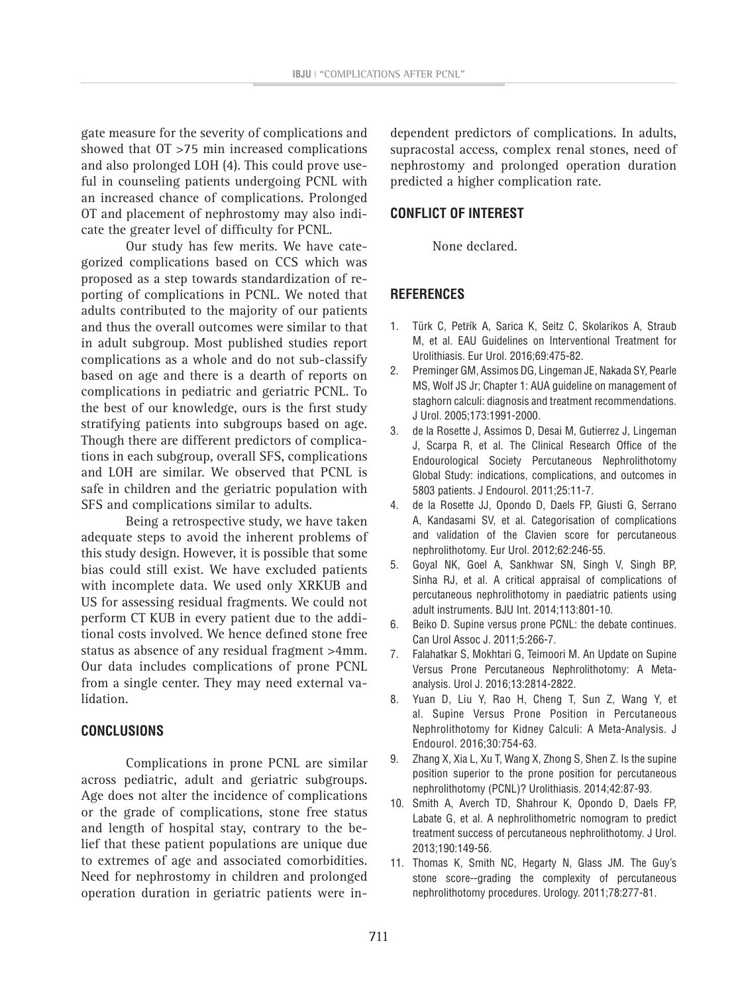gate measure for the severity of complications and showed that OT >75 min increased complications and also prolonged LOH (4). This could prove useful in counseling patients undergoing PCNL with an increased chance of complications. Prolonged OT and placement of nephrostomy may also indicate the greater level of difficulty for PCNL.

Our study has few merits. We have categorized complications based on CCS which was proposed as a step towards standardization of reporting of complications in PCNL. We noted that adults contributed to the majority of our patients and thus the overall outcomes were similar to that in adult subgroup. Most published studies report complications as a whole and do not sub-classify based on age and there is a dearth of reports on complications in pediatric and geriatric PCNL. To the best of our knowledge, ours is the first study stratifying patients into subgroups based on age. Though there are different predictors of complications in each subgroup, overall SFS, complications and LOH are similar. We observed that PCNL is safe in children and the geriatric population with SFS and complications similar to adults.

Being a retrospective study, we have taken adequate steps to avoid the inherent problems of this study design. However, it is possible that some bias could still exist. We have excluded patients with incomplete data. We used only XRKUB and US for assessing residual fragments. We could not perform CT KUB in every patient due to the additional costs involved. We hence defined stone free status as absence of any residual fragment >4mm. Our data includes complications of prone PCNL from a single center. They may need external validation.

# **CONCLUSIONS**

Complications in prone PCNL are similar across pediatric, adult and geriatric subgroups. Age does not alter the incidence of complications or the grade of complications, stone free status and length of hospital stay, contrary to the belief that these patient populations are unique due to extremes of age and associated comorbidities. Need for nephrostomy in children and prolonged operation duration in geriatric patients were in-

dependent predictors of complications. In adults, supracostal access, complex renal stones, need of nephrostomy and prolonged operation duration predicted a higher complication rate.

# **CONFLICT OF INTEREST**

None declared.

# **REFERENCES**

- 1. Türk C, Petřík A, Sarica K, Seitz C, Skolarikos A, Straub M, et al. EAU Guidelines on Interventional Treatment for Urolithiasis. Eur Urol. 2016;69:475-82.
- 2. Preminger GM, Assimos DG, Lingeman JE, Nakada SY, Pearle MS, Wolf JS Jr; Chapter 1: AUA guideline on management of staghorn calculi: diagnosis and treatment recommendations. J Urol. 2005;173:1991-2000.
- 3. de la Rosette J, Assimos D, Desai M, Gutierrez J, Lingeman J, Scarpa R, et al. The Clinical Research Office of the Endourological Society Percutaneous Nephrolithotomy Global Study: indications, complications, and outcomes in 5803 patients. J Endourol. 2011;25:11-7.
- 4. de la Rosette JJ, Opondo D, Daels FP, Giusti G, Serrano A, Kandasami SV, et al. Categorisation of complications and validation of the Clavien score for percutaneous nephrolithotomy. Eur Urol. 2012;62:246-55.
- 5. Goyal NK, Goel A, Sankhwar SN, Singh V, Singh BP, Sinha RJ, et al. A critical appraisal of complications of percutaneous nephrolithotomy in paediatric patients using adult instruments. BJU Int. 2014;113:801-10.
- 6. Beiko D. Supine versus prone PCNL: the debate continues. Can Urol Assoc J. 2011;5:266-7.
- 7. Falahatkar S, Mokhtari G, Teimoori M. An Update on Supine Versus Prone Percutaneous Nephrolithotomy: A Metaanalysis. Urol J. 2016;13:2814-2822.
- 8. Yuan D, Liu Y, Rao H, Cheng T, Sun Z, Wang Y, et al. Supine Versus Prone Position in Percutaneous Nephrolithotomy for Kidney Calculi: A Meta-Analysis. J Endourol. 2016;30:754-63.
- 9. Zhang X, Xia L, Xu T, Wang X, Zhong S, Shen Z. Is the supine position superior to the prone position for percutaneous nephrolithotomy (PCNL)? Urolithiasis. 2014;42:87-93.
- 10. Smith A, Averch TD, Shahrour K, Opondo D, Daels FP, Labate G, et al. A nephrolithometric nomogram to predict treatment success of percutaneous nephrolithotomy. J Urol. 2013;190:149-56.
- 11. Thomas K, Smith NC, Hegarty N, Glass JM. The Guy's stone score--grading the complexity of percutaneous nephrolithotomy procedures. Urology. 2011;78:277-81.